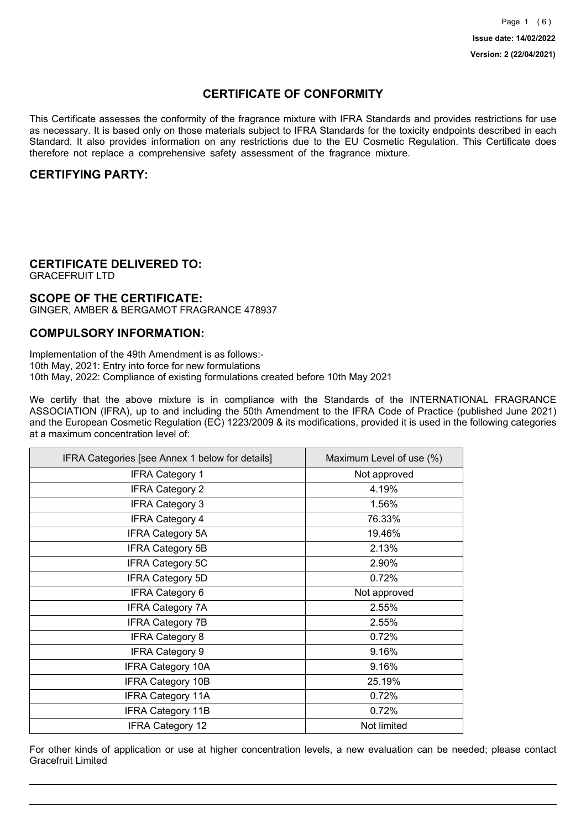## **CERTIFICATE OF CONFORMITY**

This Certificate assesses the conformity of the fragrance mixture with IFRA Standards and provides restrictions for use as necessary. It is based only on those materials subject to IFRA Standards for the toxicity endpoints described in each Standard. It also provides information on any restrictions due to the EU Cosmetic Regulation. This Certificate does therefore not replace a comprehensive safety assessment of the fragrance mixture.

### **CERTIFYING PARTY:**

## **CERTIFICATE DELIVERED TO:**

GRACEFRUIT LTD

## **SCOPE OF THE CERTIFICATE:**

GINGER, AMBER & BERGAMOT FRAGRANCE 478937

### **COMPULSORY INFORMATION:**

Implementation of the 49th Amendment is as follows:- 10th May, 2021: Entry into force for new formulations 10th May, 2022: Compliance of existing formulations created before 10th May 2021

We certify that the above mixture is in compliance with the Standards of the INTERNATIONAL FRAGRANCE ASSOCIATION (IFRA), up to and including the 50th Amendment to the IFRA Code of Practice (published June 2021) and the European Cosmetic Regulation (EC) 1223/2009 & its modifications, provided it is used in the following categories at a maximum concentration level of:

| IFRA Categories [see Annex 1 below for details] | Maximum Level of use (%) |
|-------------------------------------------------|--------------------------|
| <b>IFRA Category 1</b>                          | Not approved             |
| <b>IFRA Category 2</b>                          | 4.19%                    |
| <b>IFRA Category 3</b>                          | 1.56%                    |
| <b>IFRA Category 4</b>                          | 76.33%                   |
| <b>IFRA Category 5A</b>                         | 19.46%                   |
| <b>IFRA Category 5B</b>                         | 2.13%                    |
| <b>IFRA Category 5C</b>                         | 2.90%                    |
| <b>IFRA Category 5D</b>                         | 0.72%                    |
| <b>IFRA Category 6</b>                          | Not approved             |
| <b>IFRA Category 7A</b>                         | 2.55%                    |
| <b>IFRA Category 7B</b>                         | 2.55%                    |
| <b>IFRA Category 8</b>                          | 0.72%                    |
| <b>IFRA Category 9</b>                          | 9.16%                    |
| <b>IFRA Category 10A</b>                        | 9.16%                    |
| <b>IFRA Category 10B</b>                        | 25.19%                   |
| <b>IFRA Category 11A</b>                        | 0.72%                    |
| <b>IFRA Category 11B</b>                        | 0.72%                    |
| <b>IFRA Category 12</b>                         | Not limited              |

For other kinds of application or use at higher concentration levels, a new evaluation can be needed; please contact Gracefruit Limited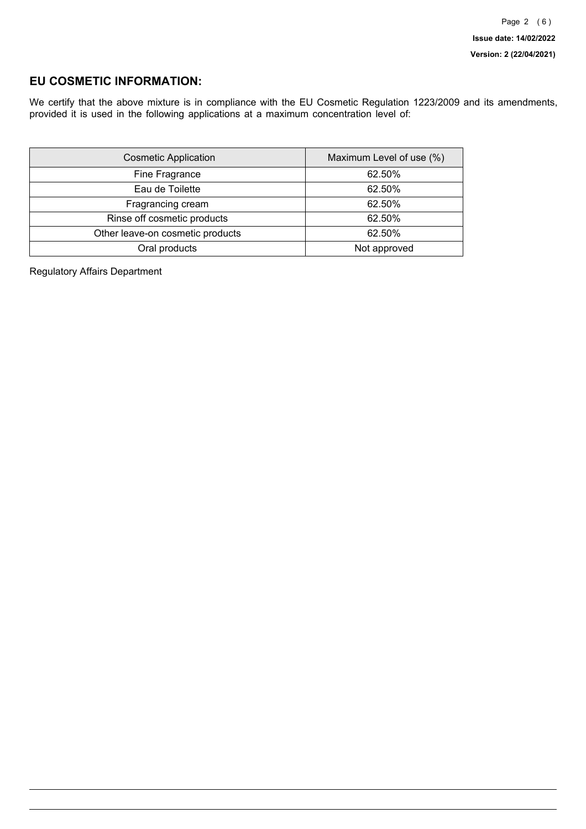## **EU COSMETIC INFORMATION:**

We certify that the above mixture is in compliance with the EU Cosmetic Regulation 1223/2009 and its amendments, provided it is used in the following applications at a maximum concentration level of:

| <b>Cosmetic Application</b>      | Maximum Level of use (%) |
|----------------------------------|--------------------------|
| Fine Fragrance                   | 62.50%                   |
| Eau de Toilette                  | 62.50%                   |
| Fragrancing cream                | 62.50%                   |
| Rinse off cosmetic products      | 62.50%                   |
| Other leave-on cosmetic products | 62.50%                   |
| Oral products                    | Not approved             |

Regulatory Affairs Department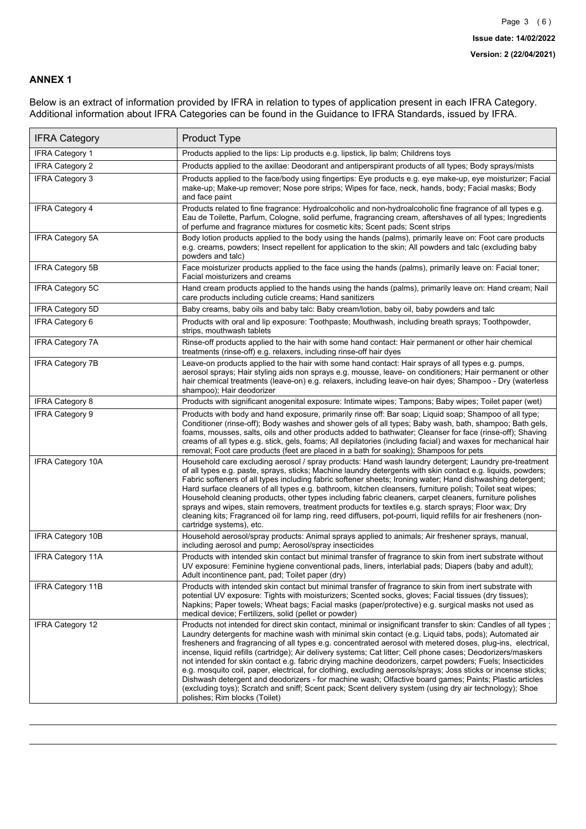### **ANNEX 1**

Below is an extract of information provided by IFRA in relation to types of application present in each IFRA Category. Additional information about IFRA Categories can be found in the Guidance to IFRA Standards, issued by IFRA.

| <b>IFRA Category</b>     | Product Type                                                                                                                                                                                                                                                                                                                                                                                                                                                                                                                                                                                                                                                                                                                                                                                                                                                                                                                                 |
|--------------------------|----------------------------------------------------------------------------------------------------------------------------------------------------------------------------------------------------------------------------------------------------------------------------------------------------------------------------------------------------------------------------------------------------------------------------------------------------------------------------------------------------------------------------------------------------------------------------------------------------------------------------------------------------------------------------------------------------------------------------------------------------------------------------------------------------------------------------------------------------------------------------------------------------------------------------------------------|
| <b>IFRA Category 1</b>   | Products applied to the lips: Lip products e.g. lipstick, lip balm; Childrens toys                                                                                                                                                                                                                                                                                                                                                                                                                                                                                                                                                                                                                                                                                                                                                                                                                                                           |
| <b>IFRA Category 2</b>   | Products applied to the axillae: Deodorant and antiperspirant products of all types; Body sprays/mists                                                                                                                                                                                                                                                                                                                                                                                                                                                                                                                                                                                                                                                                                                                                                                                                                                       |
| <b>IFRA Category 3</b>   | Products applied to the face/body using fingertips: Eye products e.g. eye make-up, eye moisturizer; Facial<br>make-up; Make-up remover; Nose pore strips; Wipes for face, neck, hands, body; Facial masks; Body<br>and face paint                                                                                                                                                                                                                                                                                                                                                                                                                                                                                                                                                                                                                                                                                                            |
| <b>IFRA Category 4</b>   | Products related to fine fragrance: Hydroalcoholic and non-hydroalcoholic fine fragrance of all types e.g.<br>Eau de Toilette, Parfum, Cologne, solid perfume, fragrancing cream, aftershaves of all types; Ingredients<br>of perfume and fragrance mixtures for cosmetic kits; Scent pads; Scent strips                                                                                                                                                                                                                                                                                                                                                                                                                                                                                                                                                                                                                                     |
| <b>IFRA Category 5A</b>  | Body lotion products applied to the body using the hands (palms), primarily leave on: Foot care products<br>e.g. creams, powders; Insect repellent for application to the skin; All powders and talc (excluding baby<br>powders and talc)                                                                                                                                                                                                                                                                                                                                                                                                                                                                                                                                                                                                                                                                                                    |
| IFRA Category 5B         | Face moisturizer products applied to the face using the hands (palms), primarily leave on: Facial toner;<br>Facial moisturizers and creams                                                                                                                                                                                                                                                                                                                                                                                                                                                                                                                                                                                                                                                                                                                                                                                                   |
| IFRA Category 5C         | Hand cream products applied to the hands using the hands (palms), primarily leave on: Hand cream; Nail<br>care products including cuticle creams; Hand sanitizers                                                                                                                                                                                                                                                                                                                                                                                                                                                                                                                                                                                                                                                                                                                                                                            |
| <b>IFRA Category 5D</b>  | Baby creams, baby oils and baby talc: Baby cream/lotion, baby oil, baby powders and talc                                                                                                                                                                                                                                                                                                                                                                                                                                                                                                                                                                                                                                                                                                                                                                                                                                                     |
| IFRA Category 6          | Products with oral and lip exposure: Toothpaste; Mouthwash, including breath sprays; Toothpowder,<br>strips, mouthwash tablets                                                                                                                                                                                                                                                                                                                                                                                                                                                                                                                                                                                                                                                                                                                                                                                                               |
| <b>IFRA Category 7A</b>  | Rinse-off products applied to the hair with some hand contact: Hair permanent or other hair chemical<br>treatments (rinse-off) e.g. relaxers, including rinse-off hair dyes                                                                                                                                                                                                                                                                                                                                                                                                                                                                                                                                                                                                                                                                                                                                                                  |
| <b>IFRA Category 7B</b>  | Leave-on products applied to the hair with some hand contact: Hair sprays of all types e.g. pumps,<br>aerosol sprays; Hair styling aids non sprays e.g. mousse, leave- on conditioners; Hair permanent or other<br>hair chemical treatments (leave-on) e.g. relaxers, including leave-on hair dyes; Shampoo - Dry (waterless<br>shampoo); Hair deodorizer                                                                                                                                                                                                                                                                                                                                                                                                                                                                                                                                                                                    |
| <b>IFRA Category 8</b>   | Products with significant anogenital exposure: Intimate wipes; Tampons; Baby wipes; Toilet paper (wet)                                                                                                                                                                                                                                                                                                                                                                                                                                                                                                                                                                                                                                                                                                                                                                                                                                       |
| IFRA Category 9          | Products with body and hand exposure, primarily rinse off: Bar soap; Liquid soap; Shampoo of all type;<br>Conditioner (rinse-off); Body washes and shower gels of all types; Baby wash, bath, shampoo; Bath gels,<br>foams, mousses, salts, oils and other products added to bathwater; Cleanser for face (rinse-off); Shaving<br>creams of all types e.g. stick, gels, foams; All depilatories (including facial) and waxes for mechanical hair<br>removal; Foot care products (feet are placed in a bath for soaking); Shampoos for pets                                                                                                                                                                                                                                                                                                                                                                                                   |
| <b>IFRA Category 10A</b> | Household care excluding aerosol / spray products: Hand wash laundry detergent; Laundry pre-treatment<br>of all types e.g. paste, sprays, sticks; Machine laundry detergents with skin contact e.g. liquids, powders;<br>Fabric softeners of all types including fabric softener sheets; Ironing water; Hand dishwashing detergent;<br>Hard surface cleaners of all types e.g. bathroom, kitchen cleansers, furniture polish; Toilet seat wipes;<br>Household cleaning products, other types including fabric cleaners, carpet cleaners, furniture polishes<br>sprays and wipes, stain removers, treatment products for textiles e.g. starch sprays; Floor wax; Dry<br>cleaning kits; Fragranced oil for lamp ring, reed diffusers, pot-pourri, liquid refills for air fresheners (non-<br>cartridge systems), etc.                                                                                                                          |
| <b>IFRA Category 10B</b> | Household aerosol/spray products: Animal sprays applied to animals; Air freshener sprays, manual,<br>including aerosol and pump; Aerosol/spray insecticides                                                                                                                                                                                                                                                                                                                                                                                                                                                                                                                                                                                                                                                                                                                                                                                  |
| <b>IFRA Category 11A</b> | Products with intended skin contact but minimal transfer of fragrance to skin from inert substrate without<br>UV exposure: Feminine hygiene conventional pads, liners, interlabial pads; Diapers (baby and adult);<br>Adult incontinence pant, pad; Toilet paper (dry)                                                                                                                                                                                                                                                                                                                                                                                                                                                                                                                                                                                                                                                                       |
| <b>IFRA Category 11B</b> | Products with intended skin contact but minimal transfer of fragrance to skin from inert substrate with<br>potential UV exposure: Tights with moisturizers; Scented socks, gloves; Facial tissues (dry tissues);<br>Napkins; Paper towels; Wheat bags; Facial masks (paper/protective) e.g. surgical masks not used as<br>medical device; Fertilizers, solid (pellet or powder)                                                                                                                                                                                                                                                                                                                                                                                                                                                                                                                                                              |
| <b>IFRA Category 12</b>  | Products not intended for direct skin contact, minimal or insignificant transfer to skin: Candles of all types;<br>Laundry detergents for machine wash with minimal skin contact (e.g. Liquid tabs, pods); Automated air<br>fresheners and fragrancing of all types e.g. concentrated aerosol with metered doses, plug-ins, electrical,<br>incense, liquid refills (cartridge); Air delivery systems; Cat litter; Cell phone cases; Deodorizers/maskers<br>not intended for skin contact e.g. fabric drying machine deodorizers, carpet powders; Fuels; Insecticides<br>e.g. mosquito coil, paper, electrical, for clothing, excluding aerosols/sprays; Joss sticks or incense sticks;<br>Dishwash detergent and deodorizers - for machine wash; Olfactive board games; Paints; Plastic articles<br>(excluding toys); Scratch and sniff; Scent pack; Scent delivery system (using dry air technology); Shoe<br>polishes; Rim blocks (Toilet) |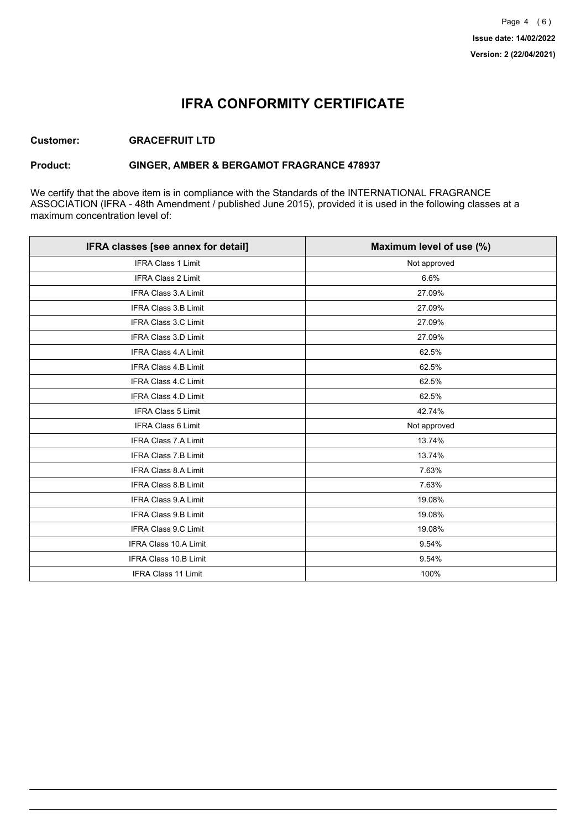## **IFRA CONFORMITY CERTIFICATE**

### **Customer: GRACEFRUIT LTD**

### **Product: GINGER, AMBER & BERGAMOT FRAGRANCE 478937**

We certify that the above item is in compliance with the Standards of the INTERNATIONAL FRAGRANCE ASSOCIATION (IFRA - 48th Amendment / published June 2015), provided it is used in the following classes at a maximum concentration level of:

| IFRA classes [see annex for detail] | Maximum level of use (%) |
|-------------------------------------|--------------------------|
| <b>IFRA Class 1 Limit</b>           | Not approved             |
| <b>IFRA Class 2 Limit</b>           | 6.6%                     |
| <b>IFRA Class 3.A Limit</b>         | 27.09%                   |
| IFRA Class 3.B Limit                | 27.09%                   |
| IFRA Class 3.C Limit                | 27.09%                   |
| IFRA Class 3.D Limit                | 27.09%                   |
| <b>IFRA Class 4.A Limit</b>         | 62.5%                    |
| <b>IFRA Class 4.B Limit</b>         | 62.5%                    |
| IFRA Class 4.C Limit                | 62.5%                    |
| <b>IFRA Class 4.D Limit</b>         | 62.5%                    |
| <b>IFRA Class 5 Limit</b>           | 42.74%                   |
| <b>IFRA Class 6 Limit</b>           | Not approved             |
| <b>IFRA Class 7.A Limit</b>         | 13.74%                   |
| IFRA Class 7.B Limit                | 13.74%                   |
| IFRA Class 8.A Limit                | 7.63%                    |
| IFRA Class 8.B Limit                | 7.63%                    |
| <b>IFRA Class 9.A Limit</b>         | 19.08%                   |
| <b>IFRA Class 9.B Limit</b>         | 19.08%                   |
| IFRA Class 9.C Limit                | 19.08%                   |
| IFRA Class 10.A Limit               | 9.54%                    |
| IFRA Class 10.B Limit               | 9.54%                    |
| <b>IFRA Class 11 Limit</b>          | 100%                     |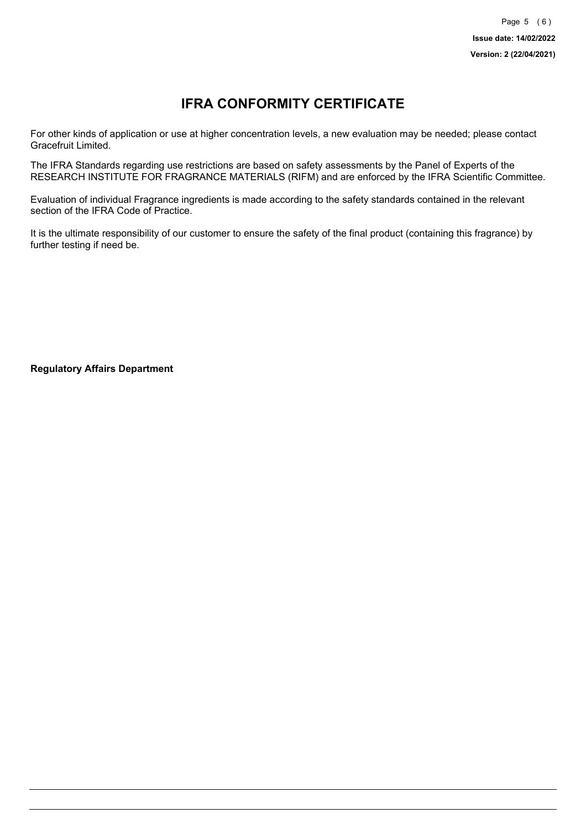# **IFRA CONFORMITY CERTIFICATE**

For other kinds of application or use at higher concentration levels, a new evaluation may be needed; please contact Gracefruit Limited.

The IFRA Standards regarding use restrictions are based on safety assessments by the Panel of Experts of the RESEARCH INSTITUTE FOR FRAGRANCE MATERIALS (RIFM) and are enforced by the IFRA Scientific Committee.

Evaluation of individual Fragrance ingredients is made according to the safety standards contained in the relevant section of the IFRA Code of Practice.

It is the ultimate responsibility of our customer to ensure the safety of the final product (containing this fragrance) by further testing if need be.

**Regulatory Affairs Department**